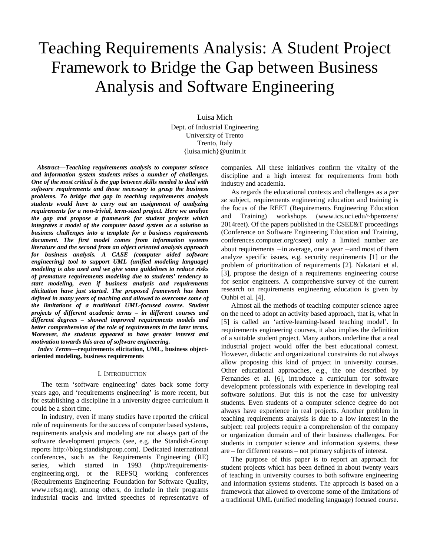# Teaching Requirements Analysis: A Student Project Framework to Bridge the Gap between Business Analysis and Software Engineering

Luisa Mich Dept. of Industrial Engineering University of Trento Trento, Italy {luisa.mich}@unitn.it

*Abstract***—***Teaching requirements analysis to computer science and information system students raises a number of challenges. One of the most critical is the gap between skills needed to deal with software requirements and those necessary to grasp the business problems. To bridge that gap in teaching requirements analysis students would have to carry out an assignment of analyzing requirements for a non-trivial, term-sized project. Here we analyze the gap and propose a framework for student projects which integrates a model of the computer based system as a solution to business challenges into a template for a business requirements document. The first model comes from information systems literature and the second from an object oriented analysis approach for business analysis. A CASE (computer aided software engineering) tool to support UML (unified modeling language) modeling is also used and we give some guidelines to reduce risks of premature requirements modeling due to students' tendency to start modeling, even if business analysis and requirements elicitation have just started. The proposed framework has been defined in many years of teaching and allowed to overcome some of the limitations of a traditional UML-focused course. Student projects of different academic terms – in different courses and different degrees – showed improved requirements models and better comprehension of the role of requirements in the later terms. Moreover, the students appeared to have greater interest and motivation towards this area of software engineering.* 

*Index Terms***—requirements elicitation, UML, business objectoriented modeling, business requirements** 

#### I. INTRODUCTION

The term 'software engineering' dates back some forty years ago, and 'requirements engineering' is more recent, but for establishing a discipline in a university degree curriculum it could be a short time.

In industry, even if many studies have reported the critical role of requirements for the success of computer based systems, requirements analysis and modeling are not always part of the software development projects (see, e.g. the Standish-Group reports http://blog.standishgroup.com). Dedicated international conferences, such as the Requirements Engineering (RE) series, which started in 1993 (http://requirementsengineering.org), or the REFSQ working conferences (Requirements Engineering: Foundation for Software Quality, www.refsq.org), among others, do include in their programs industrial tracks and invited speeches of representative of

companies. All these initiatives confirm the vitality of the discipline and a high interest for requirements from both industry and academia.

As regards the educational contexts and challenges as a *per se* subject, requirements engineering education and training is the focus of the REET (Requirements Engineering Education and Training) workshops (www.ics.uci.edu/~bpenzens/ 2014reet). Of the papers published in the CSEE&T proceedings (Conference on Software Engineering Education and Training, conferences.computer.org/cseet) only a limited number are about requirements − in average, one a year − and most of them analyze specific issues, e.g. security requirements [1] or the problem of prioritization of requirements [2]. Nakatani et al. [3], propose the design of a requirements engineering course for senior engineers. A comprehensive survey of the current research on requirements engineering education is given by Ouhbi et al. [4].

Almost all the methods of teaching computer science agree on the need to adopt an activity based approach, that is, what in [5] is called an 'active-learning-based teaching model'. In requirements engineering courses, it also implies the definition of a suitable student project. Many authors underline that a real industrial project would offer the best educational context. However, didactic and organizational constraints do not always allow proposing this kind of project in university courses. Other educational approaches, e.g., the one described by Fernandes et al. [6], introduce a curriculum for software development professionals with experience in developing real software solutions. But this is not the case for university students. Even students of a computer science degree do not always have experience in real projects. Another problem in teaching requirements analysis is due to a low interest in the subject: real projects require a comprehension of the company or organization domain and of their business challenges. For students in computer science and information systems, these are – for different reasons – not primary subjects of interest.

The purpose of this paper is to report an approach for student projects which has been defined in about twenty years of teaching in university courses to both software engineering and information systems students. The approach is based on a framework that allowed to overcome some of the limitations of a traditional UML (unified modeling language) focused course.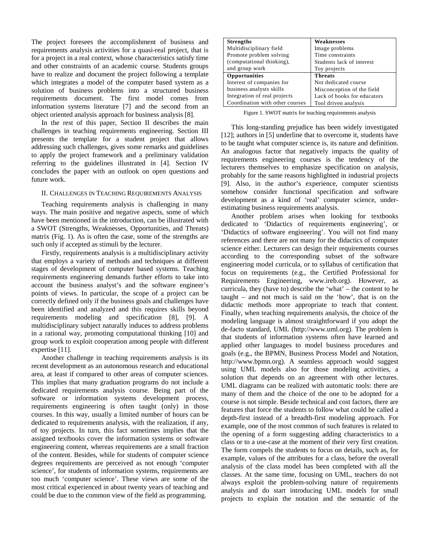The project foresees the accomplishment of business and requirements analysis activities for a quasi-real project, that is for a project in a real context, whose characteristics satisfy time and other constraints of an academic course. Students groups have to realize and document the project following a template which integrates a model of the computer based system as a solution of business problems into a structured business requirements document. The first model comes from information systems literature [7] and the second from an object oriented analysis approach for business analysis [8].

In the rest of this paper, Section II describes the main challenges in teaching requirements engineering. Section III presents the template for a student project that allows addressing such challenges, gives some remarks and guidelines to apply the project framework and a preliminary validation referring to the guidelines illustrated in [4]. Section IV concludes the paper with an outlook on open questions and future work.

## II. CHALLENGES IN TEACHING REQUIREMENTS ANALYSIS

Teaching requirements analysis is challenging in many ways. The main positive and negative aspects, some of which have been mentioned in the introduction, can be illustrated with a SWOT (Strengths, Weaknesses, Opportunities, and Threats) matrix (Fig. 1). As is often the case, some of the strengths are such only if accepted as stimuli by the lecturer.

Firstly, requirements analysis is a multidisciplinary activity that employs a variety of methods and techniques at different stages of development of computer based systems. Teaching requirements engineering demands further efforts to take into account the business analyst's and the software engineer's points of views. In particular, the scope of a project can be correctly defined only if the business goals and challenges have been identified and analyzed and this requires skills beyond requirements modeling and specification [8], [9]. A multidisciplinary subject naturally induces to address problems in a rational way, promoting computational thinking [10] and group work to exploit cooperation among people with different expertise [11].

Another challenge in teaching requirements analysis is its recent development as an autonomous research and educational area, at least if compared to other areas of computer sciences. This implies that many graduation programs do not include a dedicated requirements analysis course. Being part of the software or information systems development process, requirements engineering is often taught (only) in those courses. In this way, usually a limited number of hours can be dedicated to requirements analysis, with the realization, if any, of toy projects. In turn, this fact sometimes implies that the assigned textbooks cover the information systems or software engineering content, whereas requirements are a small fraction of the content. Besides, while for students of computer science degrees requirements are perceived as not enough 'computer science', for students of information systems, requirements are too much 'computer science'. These views are some of the most critical experienced in about twenty years of teaching and could be due to the common view of the field as programming.

| <b>Strengths</b>                | Weaknesses                  |
|---------------------------------|-----------------------------|
| Multidisciplinary field         | Image problems              |
| Promote problem solving         | Time constraints            |
| (computational thinking),       | Students lack of interest   |
| and group work                  | Toy projects                |
| Opportunities                   | <b>Threats</b>              |
| Interest of companies for       | Not dedicated course        |
| business analysts skills        | Misconception of the field  |
| Integration of real projects    | Lack of books for educators |
| Coordination with other courses | Tool driven analysis        |

Figure 1. SWOT matrix for teaching requirements analysis

This long-standing prejudice has been widely investigated [12]; authors in [5] underline that to overcome it, students have to be taught what computer science is, its nature and definition. An analogous factor that negatively impacts the quality of requirements engineering courses is the tendency of the lecturers themselves to emphasize specification on analysis, probably for the same reasons highlighted in industrial projects [9]. Also, in the author's experience, computer scientists somehow consider functional specification and software development as a kind of 'real' computer science, underestimating business requirements analysis.

Another problem arises when looking for textbooks dedicated to 'Didactics of requirements engineering', or 'Didactics of software engineering'. You will not find many references and there are not many for the didactics of computer science either. Lecturers can design their requirements courses according to the corresponding subset of the software engineering model curricula, or to syllabus of certification that focus on requirements (e.g., the Certified Professional for Requirements Engineering, www.ireb.org). However, as curricula, they (have to) describe the 'what' – the content to be taught – and not much is said on the 'how', that is on the didactic methods more appropriate to teach that content. Finally, when teaching requirements analysis, the choice of the modeling language is almost straightforward if you adopt the de-facto standard, UML (http://www.uml.org). The problem is that students of information systems often have learned and applied other languages to model business procedures and goals (e.g., the BPMN, Business Process Model and Notation, http://www.bpmn.org). A seamless approach would suggest using UML models also for those modeling activities, a solution that depends on an agreement with other lectures. UML diagrams can be realized with automatic tools: there are many of them and the choice of the one to be adopted for a course is not simple. Beside technical and cost factors, there are features that force the students to follow what could be called a depth-first instead of a breadth-first modeling approach. For example, one of the most common of such features is related to the opening of a form suggesting adding characteristics to a class or to a use-case at the moment of their very first creation. The form compels the students to focus on details, such as, for example, values of the attributes for a class, before the overall analysis of the class model has been completed with all the classes. At the same time, focusing on UML, teachers do not always exploit the problem-solving nature of requirements analysis and do start introducing UML models for small projects to explain the notation and the semantic of the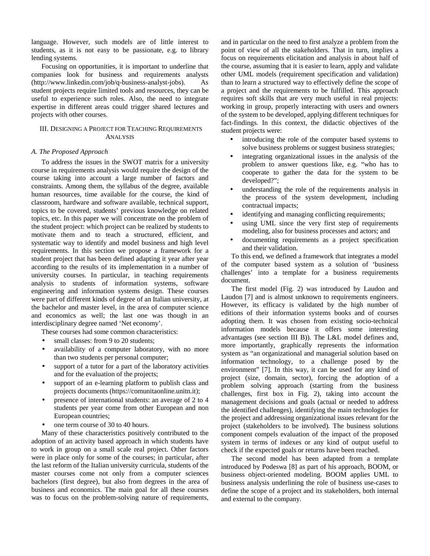language. However, such models are of little interest to students, as it is not easy to be passionate, e.g. to library lending systems.

Focusing on opportunities, it is important to underline that companies look for business and requirements analysts (http://www.linkedin.com/job/q-business-analyst-jobs). As student projects require limited tools and resources, they can be useful to experience such roles. Also, the need to integrate expertise in different areas could trigger shared lectures and projects with other courses.

## III. DESIGNING A PROJECT FOR TEACHING REQUIREMENTS ANALYSIS

### *A. The Proposed Approach*

To address the issues in the SWOT matrix for a university course in requirements analysis would require the design of the course taking into account a large number of factors and constraints. Among them, the syllabus of the degree, available human resources, time available for the course, the kind of classroom, hardware and software available, technical support, topics to be covered, students' previous knowledge on related topics, etc. In this paper we will concentrate on the problem of the student project: which project can be realized by students to motivate them and to teach a structured, efficient, and systematic way to identify and model business and high level requirements. In this section we propose a framework for a student project that has been defined adapting it year after year according to the results of its implementation in a number of university courses. In particular, in teaching requirements analysis to students of information systems, software engineering and information systems design. These courses were part of different kinds of degree of an Italian university, at the bachelor and master level, in the area of computer science and economics as well; the last one was though in an interdisciplinary degree named 'Net economy'.

These courses had some common characteristics:

- small classes: from 9 to 20 students;
- availability of a computer laboratory, with no more than two students per personal computer;
- support of a tutor for a part of the laboratory activities and for the evaluation of the projects;
- support of an e-learning platform to publish class and projects documents (https://comunitaonline.unitn.it);
- presence of international students: an average of 2 to 4 students per year come from other European and non European countries;
- one term course of 30 to 40 hours.

Many of these characteristics positively contributed to the adoption of an activity based approach in which students have to work in group on a small scale real project. Other factors were in place only for some of the courses; in particular, after the last reform of the Italian university curricula, students of the master courses come not only from a computer sciences bachelors (first degree), but also from degrees in the area of business and economics. The main goal for all these courses was to focus on the problem-solving nature of requirements,

and in particular on the need to first analyze a problem from the point of view of all the stakeholders. That in turn, implies a focus on requirements elicitation and analysis in about half of the course, assuming that it is easier to learn, apply and validate other UML models (requirement specification and validation) than to learn a structured way to effectively define the scope of a project and the requirements to be fulfilled. This approach requires soft skills that are very much useful in real projects: working in group, properly interacting with users and owners of the system to be developed, applying different techniques for fact-findings. In this context, the didactic objectives of the student projects were:

- introducing the role of the computer based systems to solve business problems or suggest business strategies;
- integrating organizational issues in the analysis of the problem to answer questions like, e.g. "who has to cooperate to gather the data for the system to be developed?";
- understanding the role of the requirements analysis in the process of the system development, including contractual impacts;
- identifying and managing conflicting requirements;
- using UML since the very first step of requirements modeling, also for business processes and actors; and
- documenting requirements as a project specification and their validation.

To this end, we defined a framework that integrates a model of the computer based system as a solution of 'business challenges' into a template for a business requirements document.

The first model (Fig. 2) was introduced by Laudon and Laudon [7] and is almost unknown to requirements engineers. However, its efficacy is validated by the high number of editions of their information systems books and of courses adopting them. It was chosen from existing socio-technical information models because it offers some interesting advantages (see section III B)). The L&L model defines and, more importantly, graphically represents the information system as "an organizational and managerial solution based on information technology, to a challenge posed by the environment" [7]. In this way, it can be used for any kind of project (size, domain, sector), forcing the adoption of a problem solving approach (starting from the business challenges, first box in Fig. 2), taking into account the management decisions and goals (actual or needed to address the identified challenges), identifying the main technologies for the project and addressing organizational issues relevant for the project (stakeholders to be involved). The business solutions component compels evaluation of the impact of the proposed system in terms of indexes or any kind of output useful to check if the expected goals or returns have been reached.

The second model has been adapted from a template introduced by Podeswa [8] as part of his approach, BOOM, or business object-oriented modeling. BOOM applies UML to business analysis underlining the role of business use-cases to define the scope of a project and its stakeholders, both internal and external to the company.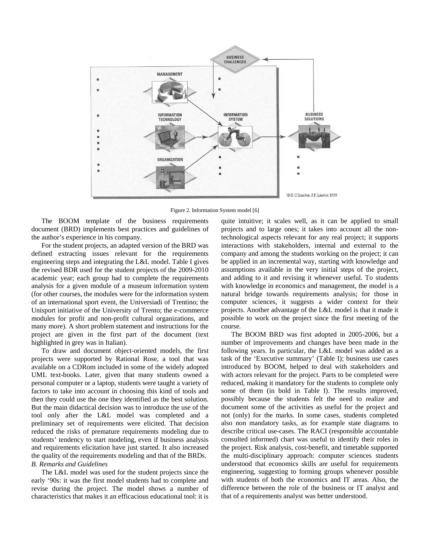

Figure 2. Information System model [6]

The BOOM template of the business requirements document (BRD) implements best practices and guidelines of the author's experience in his company.

For the student projects, an adapted version of the BRD was defined extracting issues relevant for the requirements engineering steps and integrating the L&L model. Table I gives the revised BDR used for the student projects of the 2009-2010 academic year; each group had to complete the requirements analysis for a given module of a museum information system (for other courses, the modules were for the information system of an international sport event, the Universiadi of Trentino; the Unisport initiative of the University of Trento; the e-commerce modules for profit and non-profit cultural organizations, and many more). A short problem statement and instructions for the project are given in the first part of the document (text highlighted in grey was in Italian).

To draw and document object-oriented models, the first projects were supported by Rational Rose, a tool that was available on a CDRom included in some of the widely adopted UML text-books. Later, given that many students owned a personal computer or a laptop, students were taught a variety of factors to take into account in choosing this kind of tools and then they could use the one they identified as the best solution. But the main didactical decision was to introduce the use of the tool only after the L&L model was completed and a preliminary set of requirements were elicited. That decision reduced the risks of premature requirements modeling due to students' tendency to start modeling, even if business analysis and requirements elicitation have just started. It also increased the quality of the requirements modeling and that of the BRDs. *B. Remarks and Guidelines* 

The L&L model was used for the student projects since the early '90s: it was the first model students had to complete and revise during the project. The model shows a number of characteristics that makes it an efficacious educational tool: it is quite intuitive; it scales well, as it can be applied to small projects and to large ones; it takes into account all the nontechnological aspects relevant for any real project; it supports interactions with stakeholders, internal and external to the company and among the students working on the project; it can be applied in an incremental way, starting with knowledge and assumptions available in the very initial steps of the project, and adding to it and revising it whenever useful. To students with knowledge in economics and management, the model is a natural bridge towards requirements analysis; for those in computer sciences, it suggests a wider context for their projects. Another advantage of the L&L model is that it made it possible to work on the project since the first meeting of the course.

The BOOM BRD was first adopted in 2005-2006, but a number of improvements and changes have been made in the following years. In particular, the L&L model was added as a task of the 'Executive summary' (Table I); business use cases introduced by BOOM, helped to deal with stakeholders and with actors relevant for the project. Parts to be completed were reduced, making it mandatory for the students to complete only some of them (in bold in Table I). The results improved, possibly because the students felt the need to realize and document some of the activities as useful for the project and not (only) for the marks. In some cases, students completed also non mandatory tasks, as for example state diagrams to describe critical use-cases. The RACI (responsible accountable consulted informed) chart was useful to identify their roles in the project. Risk analysis, cost-benefit, and timetable supported the multi-disciplinary approach: computer sciences students understood that economics skills are useful for requirements engineering, suggesting to forming groups whenever possible with students of both the economics and IT areas. Also, the difference between the role of the business or IT analyst and that of a requirements analyst was better understood.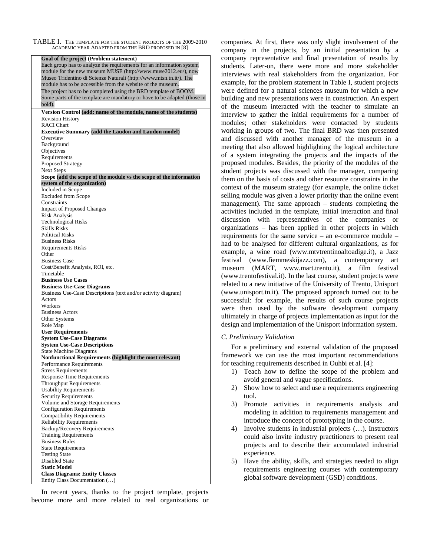TABLE I. THE TEMPLATE FOR THE STUDENT PROJECTS OF THE 2009-2010 ACADEMIC YEAR ADAPTED FROM THE BRD PROPOSED IN [8]

| Goal of the project (Problem statement)                                                   |
|-------------------------------------------------------------------------------------------|
| Each group has to analyze the requirements for an information system                      |
| module for the new museum MUSE (http://www.muse2012.eu/), now                             |
| Museo Tridentino di Scienze Naturali (http://www.mtsn.tn.it/). The                        |
| module has to be accessible from the website of the museum.                               |
| The project has to be completed using the BRD template of BOOM.                           |
| Some parts of the template are mandatory or have to be adapted (those in                  |
| bold).                                                                                    |
| Version Control (add: name of the module, name of the students)                           |
| <b>Revision History</b>                                                                   |
| <b>RACI</b> Chart                                                                         |
| <b>Executive Summary (add the Laudon and Laudon model)</b>                                |
| Overview                                                                                  |
| Background                                                                                |
| Objectives                                                                                |
| Requirements<br>Proposed Strategy                                                         |
| <b>Next Steps</b>                                                                         |
| Scope (add the scope of the module vs the scope of the information                        |
| system of the organization)                                                               |
| Included in Scope                                                                         |
| <b>Excluded from Scope</b>                                                                |
| Constraints                                                                               |
| <b>Impact of Proposed Changes</b>                                                         |
| <b>Risk Analysis</b>                                                                      |
| <b>Technological Risks</b>                                                                |
| <b>Skills Risks</b>                                                                       |
| <b>Political Risks</b>                                                                    |
| <b>Business Risks</b>                                                                     |
| <b>Requirements Risks</b>                                                                 |
| Other                                                                                     |
| <b>Business Case</b><br>Cost/Benefit Analysis, ROI, etc.                                  |
| Timetable                                                                                 |
| <b>Business Use Cases</b>                                                                 |
| <b>Business Use-Case Diagrams</b>                                                         |
| Business Use-Case Descriptions (text and/or activity diagram)                             |
| Actors                                                                                    |
| Workers                                                                                   |
| <b>Business Actors</b>                                                                    |
| Other Systems                                                                             |
| Role Map                                                                                  |
| <b>User Requirements</b>                                                                  |
| <b>System Use-Case Diagrams</b>                                                           |
| <b>System Use-Case Descriptions</b>                                                       |
| <b>State Machine Diagrams</b><br>Nonfunctional Requirements (highlight the most relevant) |
| Performance Requirements                                                                  |
| Stress Requirements                                                                       |
| Response-Time Requirements                                                                |
| <b>Throughput Requirements</b>                                                            |
| <b>Usability Requirements</b>                                                             |
| <b>Security Requirements</b>                                                              |
| Volume and Storage Requirements                                                           |
| <b>Configuration Requirements</b>                                                         |
| <b>Compatibility Requirements</b>                                                         |
| <b>Reliability Requirements</b>                                                           |
| Backup/Recovery Requirements                                                              |
| <b>Training Requirements</b>                                                              |
| <b>Business Rules</b>                                                                     |
| <b>State Requirements</b>                                                                 |
| <b>Testing State</b><br>Disabled State                                                    |
| <b>Static Model</b>                                                                       |
| <b>Class Diagrams: Entity Classes</b>                                                     |
| Entity Class Documentation ()                                                             |
|                                                                                           |

In recent years, thanks to the project template, projects become more and more related to real organizations or companies. At first, there was only slight involvement of the company in the projects, by an initial presentation by a company representative and final presentation of results by students. Later-on, there were more and more stakeholder interviews with real stakeholders from the organization. For example, for the problem statement in Table I, student projects were defined for a natural sciences museum for which a new building and new presentations were in construction. An expert of the museum interacted with the teacher to simulate an interview to gather the initial requirements for a number of modules; other stakeholders were contacted by students working in groups of two. The final BRD was then presented and discussed with another manager of the museum in a meeting that also allowed highlighting the logical architecture of a system integrating the projects and the impacts of the proposed modules. Besides, the priority of the modules of the student projects was discussed with the manager, comparing them on the basis of costs and other resource constraints in the context of the museum strategy (for example, the online ticket selling module was given a lower priority than the online event management). The same approach – students completing the activities included in the template, initial interaction and final discussion with representatives of the companies or organizations – has been applied in other projects in which requirements for the same service – an e-commerce module – had to be analysed for different cultural organizations, as for example, a wine road (www.mtvtrentinoaltoadige.it), a Jazz festival (www.fiemmeskijazz.com), a contemporary art museum (MART, www.mart.trento.it), a film festival (www.trentofestival.it). In the last course, student projects were related to a new initiative of the University of Trento, Unisport (www.unisport.tn.it). The proposed approach turned out to be successful: for example, the results of such course projects were then used by the software development company ultimately in charge of projects implementation as input for the design and implementation of the Unisport information system.

# *C. Preliminary Validation*

For a preliminary and external validation of the proposed framework we can use the most important recommendations for teaching requirements described in Ouhbi et al. [4]:

- 1) Teach how to define the scope of the problem and avoid general and vague specifications.
- 2) Show how to select and use a requirements engineering tool.
- 3) Promote activities in requirements analysis and modeling in addition to requirements management and introduce the concept of prototyping in the course.
- 4) Involve students in industrial projects (…). Instructors could also invite industry practitioners to present real projects and to describe their accumulated industrial experience.
- 5) Have the ability, skills, and strategies needed to align requirements engineering courses with contemporary global software development (GSD) conditions.